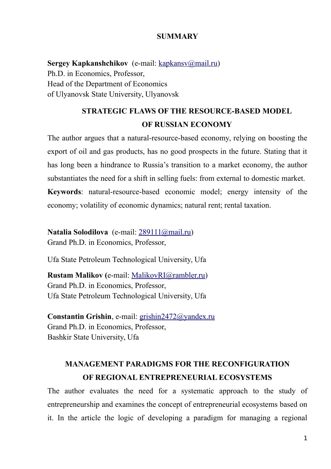### **SUMMARY**

**Sergey Kapkanshchikov** (e-mail: <u>kapkansv@mail.ru</u>) Ph.D. in Economics, Professor, Head of the Department of Economics of Ulyanovsk State University, Ulyanovsk

# **STRATEGIC FLAWS OF THE RESOURCE-BASED MODEL OF RUSSIAN ECONOMY**

The author argues that a natural-resource-based economy, relying on boosting the export of oil and gas products, has no good prospects in the future. Stating that it has long been a hindrance to Russia's transition to a market economy, the author substantiates the need for a shift in selling fuels: from external to domestic market. **Keywords**: natural-resource-based economic model; energy intensity of the economy; volatility of economic dynamics; natural rent; rental taxation.

**Natalia Solodilova** (е-mail: [289111@mail.ru\)](mailto:289111@mail.ru) Grand Ph.D. in Economics, Professor,

Ufa State Petroleum Technological University, Ufa

**Rustam Malikov (**е-mail: [MalikovRI@rambler.ru\)](mailto:MalikovRI@rambler.ru) Grand Ph.D. in Economics, Professor, Ufa State Petroleum Technological University, Ufa

**Constantin Grishin**, е-mail: [grishin2472@yandex.ru](mailto:grishin2472@yandex.ru) Grand Ph.D. in Economics, Professor, Bashkir State University, Ufa

# **MANAGEMENT PARADIGMS FOR THE RECONFIGURATION OF REGIONAL ENTREPRENEURIAL ECOSYSTEMS**

The author evaluates the need for a systematic approach to the study of entrepreneurship and examines the concept of entrepreneurial ecosystems based on it. In the article the logic of developing a paradigm for managing a regional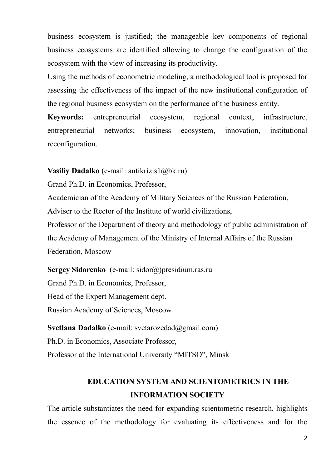business ecosystem is justified; the manageable key components of regional business ecosystems are identified allowing to change the configuration of the ecosystem with the view of increasing its productivity.

Using the methods of econometric modeling, a methodological tool is proposed for assessing the effectiveness of the impact of the new institutional configuration of the regional business ecosystem on the performance of the business entity.

**Keywords:** entrepreneurial ecosystem, regional context, infrastructure, entrepreneurial networks; business ecosystem, innovation, institutional reconfiguration.

**Vasiliy Dadalko** (е-mail: antikrizis1@bk.ru)

Grand Ph.D. in Economics, Professor,

Academician of the Academy of Military Sciences of the Russian Federation,

Adviser to the Rector of the Institute of world civilizations,

Professor of the Department of theory and methodology of public administration of the Academy of Management of the Ministry of Internal Affairs of the Russian Federation, Moscow

**Sergey Sidorenko** (е-mail: sidor@)presidium.ras.ru Grand Ph.D. in Economics, Professor, Head of the Expert Management dept. Russian Academy of Sciences, Moscow

**Svetlana Dadalko** (е-mail: svetarozedad@gmail.com) Ph.D. in Economics, Associate Professor, Professor at the International University "MITSO", Minsk

# **EDUCATION SYSTEM AND SCIENTOMETRICS IN THE INFORMATION SOCIETY**

The article substantiates the need for expanding scientometric research, highlights the essence of the methodology for evaluating its effectiveness and for the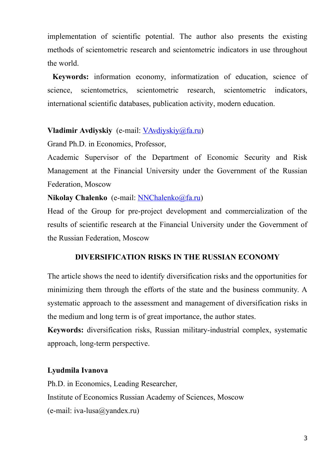implementation of scientific potential. The author also presents the existing methods of scientometric research and scientometric indicators in use throughout the world.

**Keywords:** information economy, informatization of education, science of science, scientometrics, scientometric research, scientometric indicators, international scientific databases, publication activity, modern education.

## **Vladimir Avdiyskiy** (e-mail: [VAvdiyskiy@fa.ru\)](mailto:VAvdiyskiy@fa.ru)

Grand Ph.D. in Economics, Professor,

Academic Supervisor of the Department of Economic Security and Risk Management at the Financial University under the Government of the Russian Federation, Moscow

**Nikolay Chalenko** (e-mail: [NNChalenko@fa.ru\)](mailto:NNChalenko@fa.ru)

Head of the Group for pre-project development and commercialization of the results of scientific research at the Financial University under the Government of the Russian Federation, Moscow

## **DIVERSIFICATION RISKS IN THE RUSSIAN ECONOMY**

The article shows the need to identify diversification risks and the opportunities for minimizing them through the efforts of the state and the business community. A systematic approach to the assessment and management of diversification risks in the medium and long term is of great importance, the author states.

**Keywords:** diversification risks, Russian military-industrial complex, systematic approach, long-term perspective.

## **Lyudmila Ivanova**

Ph.D. in Economics, Leading Researcher, Institute of Economics Russian Academy of Sciences, Moscow (e-mail: iva-lusa@yandex.ru)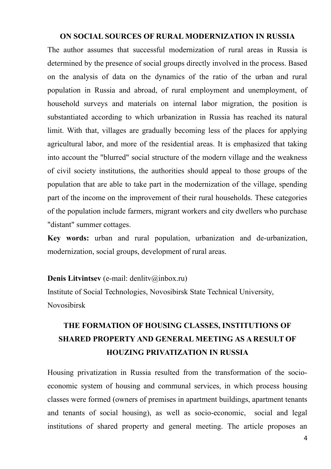#### **ON SOCIAL SOURCES OF RURAL MODERNIZATION IN RUSSIA**

The author assumes that successful modernization of rural areas in Russia is determined by the presence of social groups directly involved in the process. Based on the analysis of data on the dynamics of the ratio of the urban and rural population in Russia and abroad, of rural employment and unemployment, of household surveys and materials on internal labor migration, the position is substantiated according to which urbanization in Russia has reached its natural limit. With that, villages are gradually becoming less of the places for applying agricultural labor, and more of the residential areas. It is emphasized that taking into account the "blurred" social structure of the modern village and the weakness of civil society institutions, the authorities should appeal to those groups of the population that are able to take part in the modernization of the village, spending part of the income on the improvement of their rural households. These categories of the population include farmers, migrant workers and city dwellers who purchase "distant" summer cottages.

**Key words:** urban and rural population, urbanization and de-urbanization, modernization, social groups, development of rural areas.

#### **Denis Litvintsev** (e-mail: denlitv@inbox.ru)

Institute of Social Technologies, Novosibirsk State Technical University, Novosibirsk

# **THE FORMATION OF HOUSING CLASSES, INSTITUTIONS OF SHARED PROPERTY AND GENERAL MEETING AS A RESULT OF HOUZING PRIVATIZATION IN RUSSIA**

Housing privatization in Russia resulted from the transformation of the socioeconomic system of housing and communal services, in which process housing classes were formed (owners of premises in apartment buildings, apartment tenants and tenants of social housing), as well as socio-economic, social and legal institutions of shared property and general meeting. The article proposes an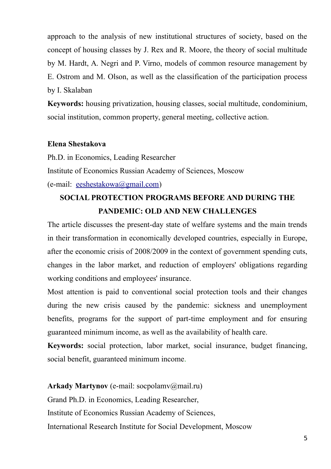approach to the analysis of new institutional structures of society, based on the concept of housing classes by J. Rex and R. Moore, the theory of social multitude by M. Hardt, A. Negri and P. Virno, models of common resource management by E. Ostrom and M. Olson, as well as the classification of the participation process by I. Skalaban

**Keywords:** housing privatization, housing classes, social multitude, condominium, social institution, common property, general meeting, collective action.

#### **Elena Shestakova**

Ph.D. in Economics, Leading Researcher Institute of Economics Russian Academy of Sciences, Moscow (e-mail: [eeshestakowa@gmail.com\)](mailto:eeshestakowa@gmail.com)

## **SOCIAL PROTECTION PROGRAMS BEFORE AND DURING THE PANDEMIC: OLD AND NEW CHALLENGES**

The article discusses the present-day state of welfare systems and the main trends in their transformation in economically developed countries, especially in Europe, after the economic crisis of 2008/2009 in the context of government spending cuts, changes in the labor market, and reduction of employers' obligations regarding working conditions and employees' insurance.

Most attention is paid to conventional social protection tools and their changes during the new crisis caused by the pandemic: sickness and unemployment benefits, programs for the support of part-time employment and for ensuring guaranteed minimum income, as well as the availability of health care.

**Keywords:** social protection, labor market, social insurance, budget financing, social benefit, guaranteed minimum income.

**Arkady Martynov** (e-mail: socpolamv@mail.ru) Grand Ph.D. in Economics, Leading Researcher, Institute of Economics Russian Academy of Sciences, International Research Institute for Social Development, Moscow